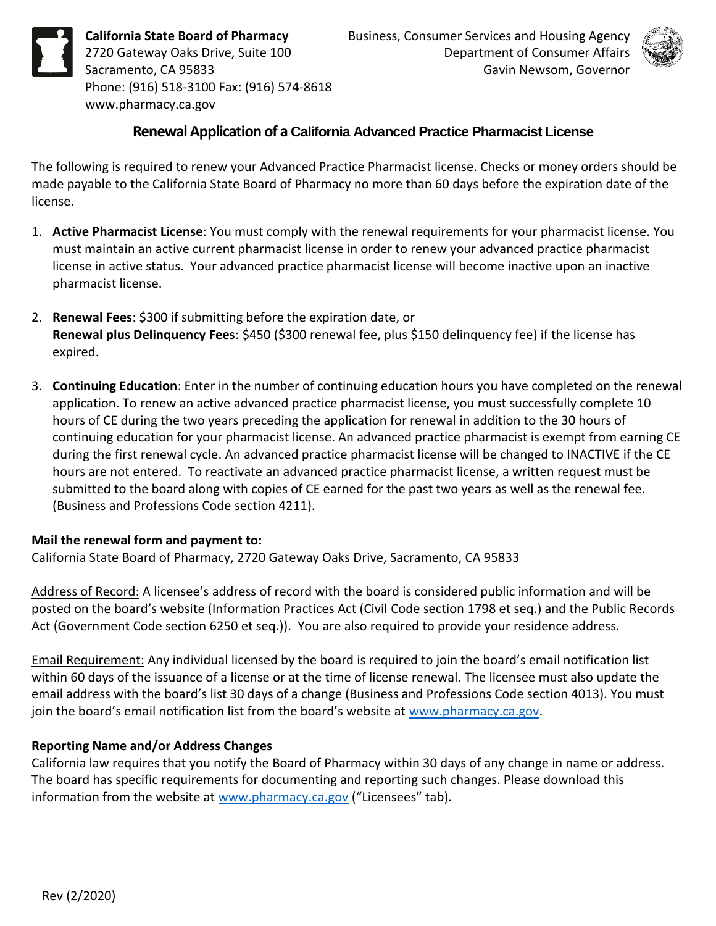**California State Board of Pharmacy**<br>2720 Gateway Oaks Drive, Suite 100<br>Sacramento, CA 95833<br>Phone: (916) 518-3100 Fax: (916) 57 2720 Gateway Oaks Drive, Suite 100 Sacramento, CA 95833 Phone: (916) 518-3100 Fax: (916) 574-8618 <www.pharmacy.ca.gov>



# **Renewal Application of a California Advanced Practice Pharmacist License**

 The following is required to renew your Advanced Practice Pharmacist license. Checks or money orders should be made payable to the California State Board of Pharmacy no more than 60 days before the expiration date of the license.

- 1. **Active Pharmacist License**: You must comply with the renewal requirements for your pharmacist license. You must maintain an active current pharmacist license in order to renew your advanced practice pharmacist license in active status. Your advanced practice pharmacist license will become inactive upon an inactive pharmacist license.
- **Renewal plus Delinquency Fees**: \$450 (\$300 renewal fee, plus \$150 delinquency fee) if the license has 2. **Renewal Fees**: \$300 if submitting before the expiration date, or expired.
- 3. **Continuing Education**: Enter in the number of continuing education hours you have completed on the renewal application. To renew an active advanced practice pharmacist license, you must successfully complete 10 hours of CE during the two years preceding the application for renewal in addition to the 30 hours of continuing education for your pharmacist license. An advanced practice pharmacist is exempt from earning CE during the first renewal cycle. An advanced practice pharmacist license will be changed to INACTIVE if the CE hours are not entered. To reactivate an advanced practice pharmacist license, a written request must be submitted to the board along with copies of CE earned for the past two years as well as the renewal fee. (Business and Professions Code section 4211).

### **Mail the renewal form and payment to:**

California State Board of Pharmacy, 2720 Gateway Oaks Drive, Sacramento, CA 95833

Address of Record: A licensee's address of record with the board is considered public information and will be posted on the board's website (Information Practices Act (Civil Code section 1798 et seq.) and the Public Records Act (Government Code section 6250 et seq.)). You are also required to provide your residence address.

 Email Requirement: Any individual licensed by the board is required to join the board's email notification list within 60 days of the issuance of a license or at the time of license renewal. The licensee must also update the email address with the board's list 30 days of a change (Business and Professions Code section 4013). You must join the board's email notification list from the board's website at [www.pharmacy.ca.gov.](http://www.pharmacy.ca.gov/)

## **Reporting Name and/or Address Changes**

 California law requires that you notify the Board of Pharmacy within 30 days of any change in name or address. The board has specific requirements for documenting and reporting such changes. Please download this information from the website at <u>www.pharmacy.ca.gov</u> ("Licensees" tab).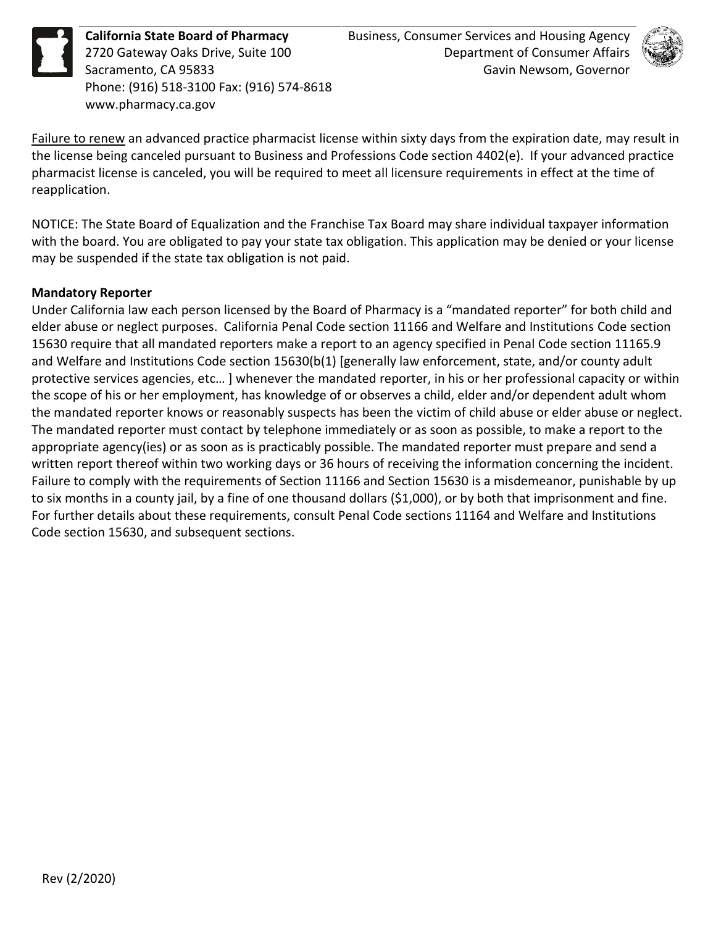**California State Board of Pharmacy**<br>2720 Gateway Oaks Drive, Suite 100<br>Sacramento, CA 95833<br>Phone: (916) 518-3100 Fax: (916) 57 2720 Gateway Oaks Drive, Suite 100 Sacramento, CA 95833 Phone: (916) 518-3100 Fax: (916) 574-8618 <www.pharmacy.ca.gov>



Failure to renew an advanced practice pharmacist license within sixty days from the expiration date, may result in the license being canceled pursuant to Business and Professions Code section 4402(e). If your advanced practice pharmacist license is canceled, you will be required to meet all licensure requirements in effect at the time of reapplication.

 NOTICE: The State Board of Equalization and the Franchise Tax Board may share individual taxpayer information with the board. You are obligated to pay your state tax obligation. This application may be denied or your license may be suspended if the state tax obligation is not paid.

### **Mandatory Reporter**

 Under California law each person licensed by the Board of Pharmacy is a "mandated reporter" for both child and elder abuse or neglect purposes. California Penal Code section 11166 and Welfare and Institutions Code section 15630 require that all mandated reporters make a report to an agency specified in Penal Code section 11165.9 and Welfare and Institutions Code section 15630(b(1) [generally law enforcement, state, and/or county adult protective services agencies, etc… ] whenever the mandated reporter, in his or her professional capacity or within the scope of his or her employment, has knowledge of or observes a child, elder and/or dependent adult whom the mandated reporter knows or reasonably suspects has been the victim of child abuse or elder abuse or neglect. The mandated reporter must contact by telephone immediately or as soon as possible, to make a report to the appropriate agency(ies) or as soon as is practicably possible. The mandated reporter must prepare and send a written report thereof within two working days or 36 hours of receiving the information concerning the incident. Failure to comply with the requirements of Section 11166 and Section 15630 is a misdemeanor, punishable by up to six months in a county jail, by a fine of one thousand dollars (\$1,000), or by both that imprisonment and fine. For further details about these requirements, consult Penal Code sections 11164 and Welfare and Institutions Code section 15630, and subsequent sections.